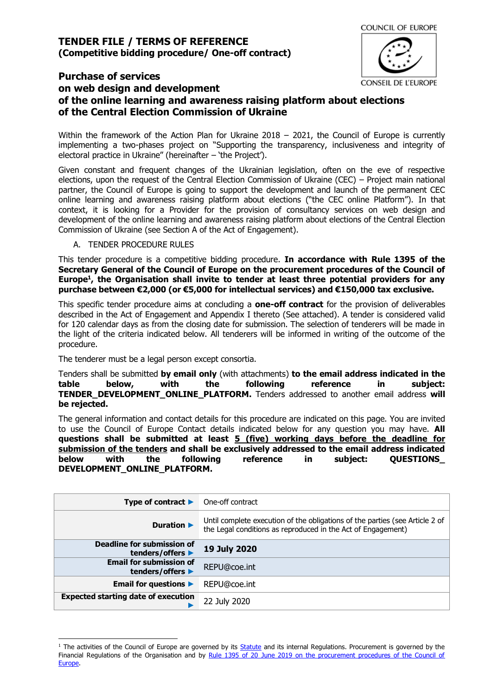# **Purchase of services**

# **on web design and development of the online learning and awareness raising platform about elections of the Central Election Commission of Ukraine**

Within the framework of the Action Plan for Ukraine 2018 - 2021, the Council of Europe is currently implementing a two-phases project on "Supporting the transparency, inclusiveness and integrity of electoral practice in Ukraine" (hereinafter – 'the Project').

Given constant and frequent changes of the Ukrainian legislation, often on the eve of respective elections, upon the request of the Central Election Commission of Ukraine (CEC) – Project main national partner, the Council of Europe is going to support the development and launch of the permanent CEC online learning and awareness raising platform about elections ("the CEC online Platform"). In that context, it is looking for a Provider for the provision of consultancy services on web design and development of the online learning and awareness raising platform about elections of the Central Election Commission of Ukraine (see Section A of the Act of Engagement).

A. TENDER PROCEDURE RULES

This tender procedure is a competitive bidding procedure. **In accordance with Rule 1395 of the Secretary General of the Council of Europe on the procurement procedures of the Council of Europe<sup>1</sup> , the Organisation shall invite to tender at least three potential providers for any purchase between €2,000 (or €5,000 for intellectual services) and €150,000 tax exclusive.**

This specific tender procedure aims at concluding a **one-off contract** for the provision of deliverables described in the Act of Engagement and Appendix I thereto (See attached). A tender is considered valid for 120 calendar days as from the closing date for submission. The selection of tenderers will be made in the light of the criteria indicated below. All tenderers will be informed in writing of the outcome of the procedure.

The tenderer must be a legal person except consortia.

Tenders shall be submitted **by email only** (with attachments) **to the email address indicated in the table below, with the following reference in subject: TENDER\_DEVELOPMENT\_ONLINE\_PLATFORM.** Tenders addressed to another email address **will be rejected.**

The general information and contact details for this procedure are indicated on this page. You are invited to use the Council of Europe Contact details indicated below for any question you may have. **All questions shall be submitted at least 5 (five) working days before the deadline for submission of the tenders and shall be exclusively addressed to the email address indicated below with the following reference in subject: QUESTIONS\_ DEVELOPMENT\_ONLINE\_PLATFORM.**

| Type of contract $\blacktriangleright$             | One-off contract                                                                                                                             |
|----------------------------------------------------|----------------------------------------------------------------------------------------------------------------------------------------------|
| <b>Duration ▶</b>                                  | Until complete execution of the obligations of the parties (see Article 2 of<br>the Legal conditions as reproduced in the Act of Engagement) |
| Deadline for submission of<br>tenders/offers ▶     | <b>19 July 2020</b>                                                                                                                          |
| <b>Email for submission of</b><br>tenders/offers ▶ | REPU@coe.int                                                                                                                                 |
| Email for questions $\blacktriangleright$          | REPU@coe.int                                                                                                                                 |
| <b>Expected starting date of execution</b>         | 22 July 2020                                                                                                                                 |

 $1$  The activities of the Council of Europe are governed by its [Statute](https://rm.coe.int/CoERMPublicCommonSearchServices/DisplayDCTMContent?documentId=0900001680306052) and its internal Regulations. Procurement is governed by the Financial Regulations of the Organisation and by Rule 1395 of 20 June 2019 on the procurement procedures of the Council of [Europe.](https://search.coe.int/intranet/Pages/result_details.aspx?ObjectId=090000168094853e)

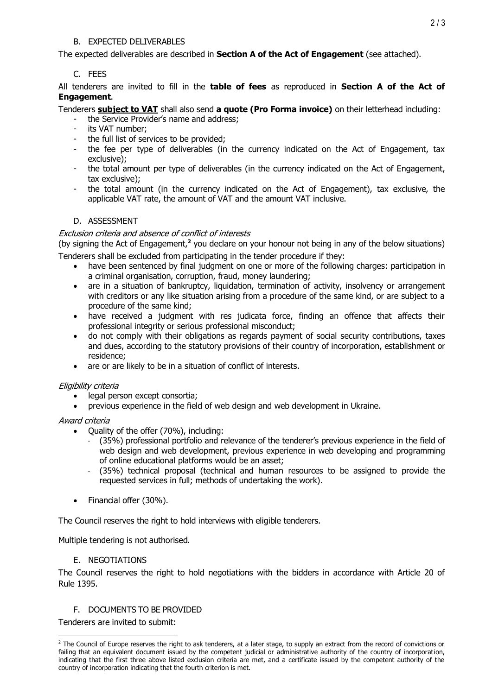## B. EXPECTED DELIVERABLES

The expected deliverables are described in **Section A of the Act of Engagement** (see attached).

# C. FEES

All tenderers are invited to fill in the **table of fees** as reproduced in **Section A of the Act of Engagement**.

## Tenderers **subject to VAT** shall also send **a quote (Pro Forma invoice)** on their letterhead including:

- the Service Provider's name and address;
- its VAT number;
- the full list of services to be provided;
- the fee per type of deliverables (in the currency indicated on the Act of Engagement, tax exclusive);
- the total amount per type of deliverables (in the currency indicated on the Act of Engagement, tax exclusive);
- the total amount (in the currency indicated on the Act of Engagement), tax exclusive, the applicable VAT rate, the amount of VAT and the amount VAT inclusive.

## D. ASSESSMENT

#### Exclusion criteria and absence of conflict of interests

(by signing the Act of Engagement,**<sup>2</sup>** you declare on your honour not being in any of the below situations) Tenderers shall be excluded from participating in the tender procedure if they:

- have been sentenced by final judgment on one or more of the following charges: participation in a criminal organisation, corruption, fraud, money laundering;
- are in a situation of bankruptcy, liquidation, termination of activity, insolvency or arrangement with creditors or any like situation arising from a procedure of the same kind, or are subject to a procedure of the same kind;
- have received a judgment with res judicata force, finding an offence that affects their professional integrity or serious professional misconduct;
- do not comply with their obligations as regards payment of social security contributions, taxes and dues, according to the statutory provisions of their country of incorporation, establishment or residence;
- are or are likely to be in a situation of conflict of interests.

#### Eligibility criteria

- legal person except consortia;
- previous experience in the field of web design and web development in Ukraine.

#### Award criteria

- Quality of the offer (70%), including:
	- (35%) professional portfolio and relevance of the tenderer's previous experience in the field of web design and web development, previous experience in web developing and programming of online educational platforms would be an asset;
	- (35%) technical proposal (technical and human resources to be assigned to provide the requested services in full; methods of undertaking the work).
- Financial offer (30%).

The Council reserves the right to hold interviews with eligible tenderers.

Multiple tendering is not authorised.

#### E. NEGOTIATIONS

The Council reserves the right to hold negotiations with the bidders in accordance with Article 20 of Rule 1395.

# F. DOCUMENTS TO BE PROVIDED

Tenderers are invited to submit:

<sup>&</sup>lt;sup>2</sup> The Council of Europe reserves the right to ask tenderers, at a later stage, to supply an extract from the record of convictions or failing that an equivalent document issued by the competent judicial or administrative authority of the country of incorporation, indicating that the first three above listed exclusion criteria are met, and a certificate issued by the competent authority of the country of incorporation indicating that the fourth criterion is met.